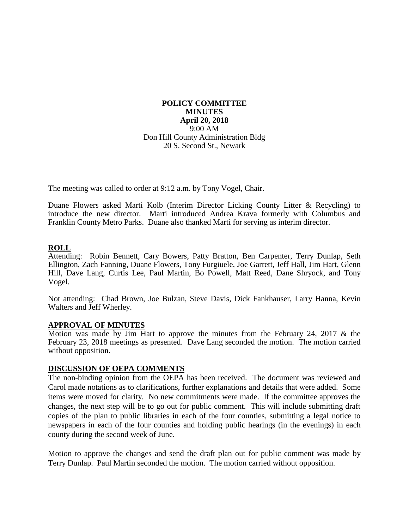#### **POLICY COMMITTEE MINUTES April 20, 2018** 9:00 AM Don Hill County Administration Bldg 20 S. Second St., Newark

The meeting was called to order at 9:12 a.m. by Tony Vogel, Chair.

Duane Flowers asked Marti Kolb (Interim Director Licking County Litter & Recycling) to introduce the new director. Marti introduced Andrea Krava formerly with Columbus and Franklin County Metro Parks. Duane also thanked Marti for serving as interim director.

# **ROLL**

Attending: Robin Bennett, Cary Bowers, Patty Bratton, Ben Carpenter, Terry Dunlap, Seth Ellington, Zach Fanning, Duane Flowers, Tony Furgiuele, Joe Garrett, Jeff Hall, Jim Hart, Glenn Hill, Dave Lang, Curtis Lee, Paul Martin, Bo Powell, Matt Reed, Dane Shryock, and Tony Vogel.

Not attending: Chad Brown, Joe Bulzan, Steve Davis, Dick Fankhauser, Larry Hanna, Kevin Walters and Jeff Wherley.

## **APPROVAL OF MINUTES**

Motion was made by Jim Hart to approve the minutes from the February 24, 2017 & the February 23, 2018 meetings as presented. Dave Lang seconded the motion. The motion carried without opposition.

## **DISCUSSION OF OEPA COMMENTS**

The non-binding opinion from the OEPA has been received. The document was reviewed and Carol made notations as to clarifications, further explanations and details that were added. Some items were moved for clarity. No new commitments were made. If the committee approves the changes, the next step will be to go out for public comment. This will include submitting draft copies of the plan to public libraries in each of the four counties, submitting a legal notice to newspapers in each of the four counties and holding public hearings (in the evenings) in each county during the second week of June.

Motion to approve the changes and send the draft plan out for public comment was made by Terry Dunlap. Paul Martin seconded the motion. The motion carried without opposition.